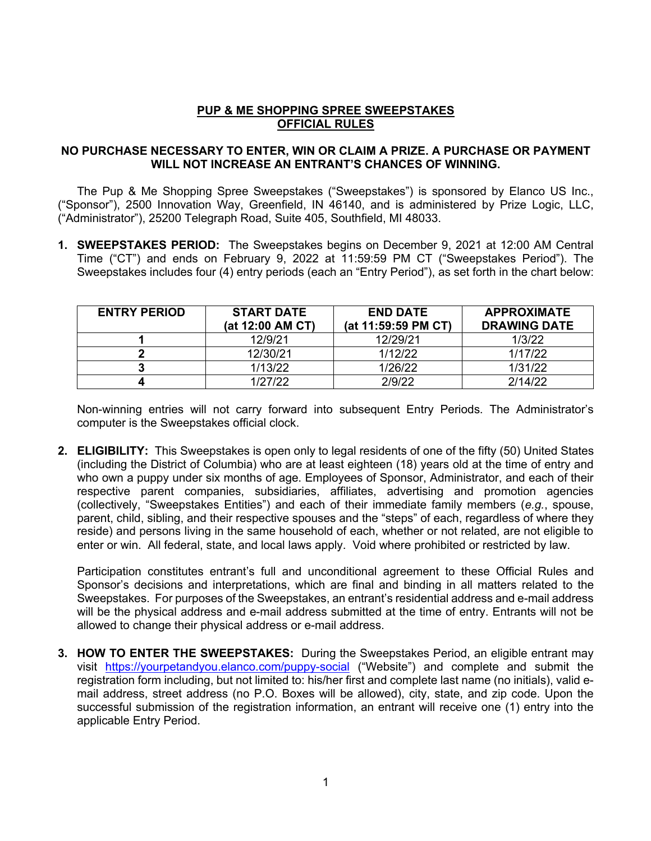## **PUP & ME SHOPPING SPREE SWEEPSTAKES OFFICIAL RULES**

## **NO PURCHASE NECESSARY TO ENTER, WIN OR CLAIM A PRIZE. A PURCHASE OR PAYMENT WILL NOT INCREASE AN ENTRANT'S CHANCES OF WINNING.**

The Pup & Me Shopping Spree Sweepstakes ("Sweepstakes") is sponsored by Elanco US Inc., ("Sponsor"), 2500 Innovation Way, Greenfield, IN 46140, and is administered by Prize Logic, LLC, ("Administrator"), 25200 Telegraph Road, Suite 405, Southfield, MI 48033.

**1. SWEEPSTAKES PERIOD:** The Sweepstakes begins on December 9, 2021 at 12:00 AM Central Time ("CT") and ends on February 9, 2022 at 11:59:59 PM CT ("Sweepstakes Period"). The Sweepstakes includes four (4) entry periods (each an "Entry Period"), as set forth in the chart below:

| <b>ENTRY PERIOD</b> | <b>START DATE</b><br>(at 12:00 AM CT) | <b>END DATE</b><br>(at 11:59:59 PM CT) | <b>APPROXIMATE</b><br><b>DRAWING DATE</b> |
|---------------------|---------------------------------------|----------------------------------------|-------------------------------------------|
|                     | 12/9/21                               | 12/29/21                               | 1/3/22                                    |
|                     | 12/30/21                              | 1/12/22                                | 1/17/22                                   |
|                     | 1/13/22                               | 1/26/22                                | 1/31/22                                   |
|                     | 1/27/22                               | 2/9/22                                 | 2/14/22                                   |

Non-winning entries will not carry forward into subsequent Entry Periods. The Administrator's computer is the Sweepstakes official clock.

**2. ELIGIBILITY:** This Sweepstakes is open only to legal residents of one of the fifty (50) United States (including the District of Columbia) who are at least eighteen (18) years old at the time of entry and who own a puppy under six months of age. Employees of Sponsor, Administrator, and each of their respective parent companies, subsidiaries, affiliates, advertising and promotion agencies (collectively, "Sweepstakes Entities") and each of their immediate family members (*e.g.*, spouse, parent, child, sibling, and their respective spouses and the "steps" of each, regardless of where they reside) and persons living in the same household of each, whether or not related, are not eligible to enter or win. All federal, state, and local laws apply. Void where prohibited or restricted by law.

Participation constitutes entrant's full and unconditional agreement to these Official Rules and Sponsor's decisions and interpretations, which are final and binding in all matters related to the Sweepstakes. For purposes of the Sweepstakes, an entrant's residential address and e-mail address will be the physical address and e-mail address submitted at the time of entry. Entrants will not be allowed to change their physical address or e-mail address.

**3. HOW TO ENTER THE SWEEPSTAKES:** During the Sweepstakes Period, an eligible entrant may visit https://yourpetandyou.elanco.com/puppy-social ("Website") and complete and submit the registration form including, but not limited to: his/her first and complete last name (no initials), valid email address, street address (no P.O. Boxes will be allowed), city, state, and zip code. Upon the successful submission of the registration information, an entrant will receive one (1) entry into the applicable Entry Period.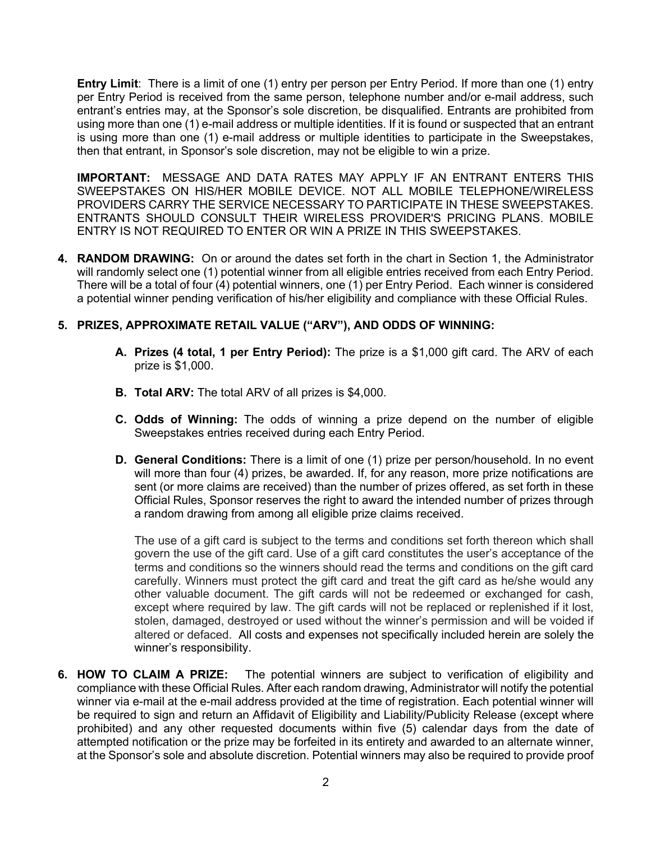**Entry Limit**: There is a limit of one (1) entry per person per Entry Period. If more than one (1) entry per Entry Period is received from the same person, telephone number and/or e-mail address, such entrant's entries may, at the Sponsor's sole discretion, be disqualified. Entrants are prohibited from using more than one (1) e-mail address or multiple identities. If it is found or suspected that an entrant is using more than one (1) e-mail address or multiple identities to participate in the Sweepstakes, then that entrant, in Sponsor's sole discretion, may not be eligible to win a prize.

**IMPORTANT:** MESSAGE AND DATA RATES MAY APPLY IF AN ENTRANT ENTERS THIS SWEEPSTAKES ON HIS/HER MOBILE DEVICE. NOT ALL MOBILE TELEPHONE/WIRELESS PROVIDERS CARRY THE SERVICE NECESSARY TO PARTICIPATE IN THESE SWEEPSTAKES. ENTRANTS SHOULD CONSULT THEIR WIRELESS PROVIDER'S PRICING PLANS. MOBILE ENTRY IS NOT REQUIRED TO ENTER OR WIN A PRIZE IN THIS SWEEPSTAKES.

**4. RANDOM DRAWING:** On or around the dates set forth in the chart in Section 1, the Administrator will randomly select one (1) potential winner from all eligible entries received from each Entry Period. There will be a total of four (4) potential winners, one (1) per Entry Period. Each winner is considered a potential winner pending verification of his/her eligibility and compliance with these Official Rules.

## **5. PRIZES, APPROXIMATE RETAIL VALUE ("ARV"), AND ODDS OF WINNING:**

- **A. Prizes (4 total, 1 per Entry Period):** The prize is a \$1,000 gift card. The ARV of each prize is \$1,000.
- **B. Total ARV:** The total ARV of all prizes is \$4,000.
- **C. Odds of Winning:** The odds of winning a prize depend on the number of eligible Sweepstakes entries received during each Entry Period.
- **D. General Conditions:** There is a limit of one (1) prize per person/household. In no event will more than four (4) prizes, be awarded. If, for any reason, more prize notifications are sent (or more claims are received) than the number of prizes offered, as set forth in these Official Rules, Sponsor reserves the right to award the intended number of prizes through a random drawing from among all eligible prize claims received.

The use of a gift card is subject to the terms and conditions set forth thereon which shall govern the use of the gift card. Use of a gift card constitutes the user's acceptance of the terms and conditions so the winners should read the terms and conditions on the gift card carefully. Winners must protect the gift card and treat the gift card as he/she would any other valuable document. The gift cards will not be redeemed or exchanged for cash, except where required by law. The gift cards will not be replaced or replenished if it lost, stolen, damaged, destroyed or used without the winner's permission and will be voided if altered or defaced.All costs and expenses not specifically included herein are solely the winner's responsibility.

**6. HOW TO CLAIM A PRIZE:** The potential winners are subject to verification of eligibility and compliance with these Official Rules. After each random drawing, Administrator will notify the potential winner via e-mail at the e-mail address provided at the time of registration. Each potential winner will be required to sign and return an Affidavit of Eligibility and Liability/Publicity Release (except where prohibited) and any other requested documents within five (5) calendar days from the date of attempted notification or the prize may be forfeited in its entirety and awarded to an alternate winner, at the Sponsor's sole and absolute discretion. Potential winners may also be required to provide proof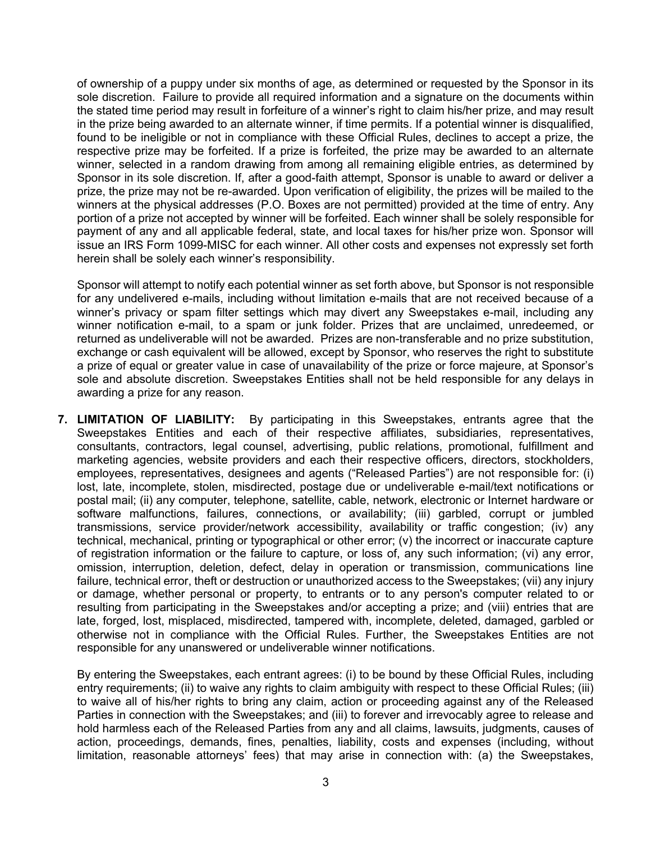of ownership of a puppy under six months of age, as determined or requested by the Sponsor in its sole discretion. Failure to provide all required information and a signature on the documents within the stated time period may result in forfeiture of a winner's right to claim his/her prize, and may result in the prize being awarded to an alternate winner, if time permits. If a potential winner is disqualified, found to be ineligible or not in compliance with these Official Rules, declines to accept a prize, the respective prize may be forfeited. If a prize is forfeited, the prize may be awarded to an alternate winner, selected in a random drawing from among all remaining eligible entries, as determined by Sponsor in its sole discretion. If, after a good-faith attempt, Sponsor is unable to award or deliver a prize, the prize may not be re-awarded. Upon verification of eligibility, the prizes will be mailed to the winners at the physical addresses (P.O. Boxes are not permitted) provided at the time of entry. Any portion of a prize not accepted by winner will be forfeited. Each winner shall be solely responsible for payment of any and all applicable federal, state, and local taxes for his/her prize won. Sponsor will issue an IRS Form 1099-MISC for each winner. All other costs and expenses not expressly set forth herein shall be solely each winner's responsibility.

Sponsor will attempt to notify each potential winner as set forth above, but Sponsor is not responsible for any undelivered e-mails, including without limitation e-mails that are not received because of a winner's privacy or spam filter settings which may divert any Sweepstakes e-mail, including any winner notification e-mail, to a spam or junk folder. Prizes that are unclaimed, unredeemed, or returned as undeliverable will not be awarded. Prizes are non-transferable and no prize substitution, exchange or cash equivalent will be allowed, except by Sponsor, who reserves the right to substitute a prize of equal or greater value in case of unavailability of the prize or force majeure, at Sponsor's sole and absolute discretion. Sweepstakes Entities shall not be held responsible for any delays in awarding a prize for any reason.

**7. LIMITATION OF LIABILITY:** By participating in this Sweepstakes, entrants agree that the Sweepstakes Entities and each of their respective affiliates, subsidiaries, representatives, consultants, contractors, legal counsel, advertising, public relations, promotional, fulfillment and marketing agencies, website providers and each their respective officers, directors, stockholders, employees, representatives, designees and agents ("Released Parties") are not responsible for: (i) lost, late, incomplete, stolen, misdirected, postage due or undeliverable e-mail/text notifications or postal mail; (ii) any computer, telephone, satellite, cable, network, electronic or Internet hardware or software malfunctions, failures, connections, or availability; (iii) garbled, corrupt or jumbled transmissions, service provider/network accessibility, availability or traffic congestion; (iv) any technical, mechanical, printing or typographical or other error; (v) the incorrect or inaccurate capture of registration information or the failure to capture, or loss of, any such information; (vi) any error, omission, interruption, deletion, defect, delay in operation or transmission, communications line failure, technical error, theft or destruction or unauthorized access to the Sweepstakes; (vii) any injury or damage, whether personal or property, to entrants or to any person's computer related to or resulting from participating in the Sweepstakes and/or accepting a prize; and (viii) entries that are late, forged, lost, misplaced, misdirected, tampered with, incomplete, deleted, damaged, garbled or otherwise not in compliance with the Official Rules. Further, the Sweepstakes Entities are not responsible for any unanswered or undeliverable winner notifications.

By entering the Sweepstakes, each entrant agrees: (i) to be bound by these Official Rules, including entry requirements; (ii) to waive any rights to claim ambiguity with respect to these Official Rules; (iii) to waive all of his/her rights to bring any claim, action or proceeding against any of the Released Parties in connection with the Sweepstakes; and (iii) to forever and irrevocably agree to release and hold harmless each of the Released Parties from any and all claims, lawsuits, judgments, causes of action, proceedings, demands, fines, penalties, liability, costs and expenses (including, without limitation, reasonable attorneys' fees) that may arise in connection with: (a) the Sweepstakes,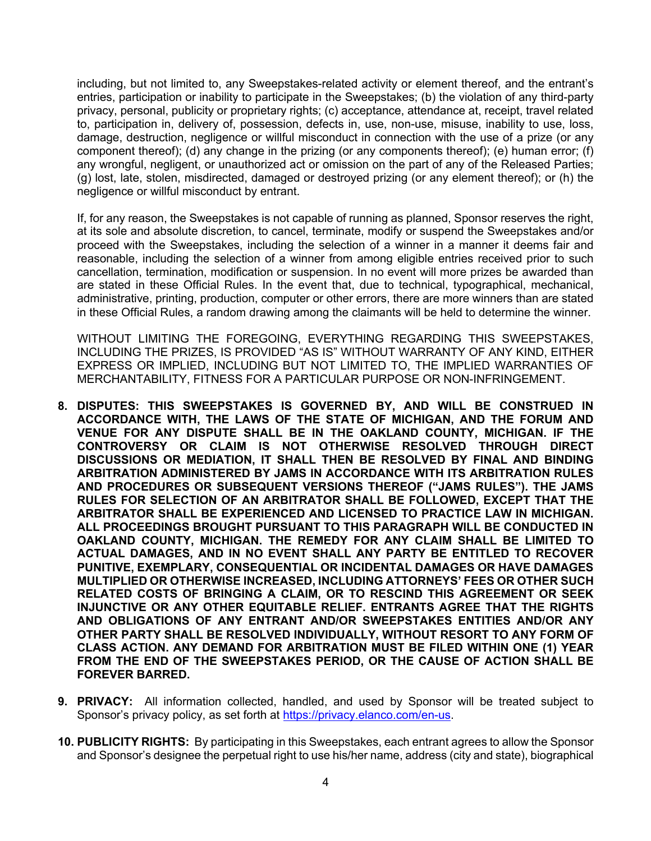including, but not limited to, any Sweepstakes-related activity or element thereof, and the entrant's entries, participation or inability to participate in the Sweepstakes; (b) the violation of any third-party privacy, personal, publicity or proprietary rights; (c) acceptance, attendance at, receipt, travel related to, participation in, delivery of, possession, defects in, use, non-use, misuse, inability to use, loss, damage, destruction, negligence or willful misconduct in connection with the use of a prize (or any component thereof); (d) any change in the prizing (or any components thereof); (e) human error; (f) any wrongful, negligent, or unauthorized act or omission on the part of any of the Released Parties; (g) lost, late, stolen, misdirected, damaged or destroyed prizing (or any element thereof); or (h) the negligence or willful misconduct by entrant.

If, for any reason, the Sweepstakes is not capable of running as planned, Sponsor reserves the right, at its sole and absolute discretion, to cancel, terminate, modify or suspend the Sweepstakes and/or proceed with the Sweepstakes, including the selection of a winner in a manner it deems fair and reasonable, including the selection of a winner from among eligible entries received prior to such cancellation, termination, modification or suspension. In no event will more prizes be awarded than are stated in these Official Rules. In the event that, due to technical, typographical, mechanical, administrative, printing, production, computer or other errors, there are more winners than are stated in these Official Rules, a random drawing among the claimants will be held to determine the winner.

WITHOUT LIMITING THE FOREGOING, EVERYTHING REGARDING THIS SWEEPSTAKES, INCLUDING THE PRIZES, IS PROVIDED "AS IS" WITHOUT WARRANTY OF ANY KIND, EITHER EXPRESS OR IMPLIED, INCLUDING BUT NOT LIMITED TO, THE IMPLIED WARRANTIES OF MERCHANTABILITY, FITNESS FOR A PARTICULAR PURPOSE OR NON-INFRINGEMENT.

- **8. DISPUTES: THIS SWEEPSTAKES IS GOVERNED BY, AND WILL BE CONSTRUED IN ACCORDANCE WITH, THE LAWS OF THE STATE OF MICHIGAN, AND THE FORUM AND VENUE FOR ANY DISPUTE SHALL BE IN THE OAKLAND COUNTY, MICHIGAN. IF THE CONTROVERSY OR CLAIM IS NOT OTHERWISE RESOLVED THROUGH DIRECT DISCUSSIONS OR MEDIATION, IT SHALL THEN BE RESOLVED BY FINAL AND BINDING ARBITRATION ADMINISTERED BY JAMS IN ACCORDANCE WITH ITS ARBITRATION RULES AND PROCEDURES OR SUBSEQUENT VERSIONS THEREOF ("JAMS RULES"). THE JAMS RULES FOR SELECTION OF AN ARBITRATOR SHALL BE FOLLOWED, EXCEPT THAT THE ARBITRATOR SHALL BE EXPERIENCED AND LICENSED TO PRACTICE LAW IN MICHIGAN. ALL PROCEEDINGS BROUGHT PURSUANT TO THIS PARAGRAPH WILL BE CONDUCTED IN OAKLAND COUNTY, MICHIGAN. THE REMEDY FOR ANY CLAIM SHALL BE LIMITED TO ACTUAL DAMAGES, AND IN NO EVENT SHALL ANY PARTY BE ENTITLED TO RECOVER PUNITIVE, EXEMPLARY, CONSEQUENTIAL OR INCIDENTAL DAMAGES OR HAVE DAMAGES MULTIPLIED OR OTHERWISE INCREASED, INCLUDING ATTORNEYS' FEES OR OTHER SUCH RELATED COSTS OF BRINGING A CLAIM, OR TO RESCIND THIS AGREEMENT OR SEEK INJUNCTIVE OR ANY OTHER EQUITABLE RELIEF. ENTRANTS AGREE THAT THE RIGHTS AND OBLIGATIONS OF ANY ENTRANT AND/OR SWEEPSTAKES ENTITIES AND/OR ANY OTHER PARTY SHALL BE RESOLVED INDIVIDUALLY, WITHOUT RESORT TO ANY FORM OF CLASS ACTION. ANY DEMAND FOR ARBITRATION MUST BE FILED WITHIN ONE (1) YEAR FROM THE END OF THE SWEEPSTAKES PERIOD, OR THE CAUSE OF ACTION SHALL BE FOREVER BARRED.**
- **9. PRIVACY:** All information collected, handled, and used by Sponsor will be treated subject to Sponsor's privacy policy, as set forth at https://privacy.elanco.com/en-us.
- **10. PUBLICITY RIGHTS:** By participating in this Sweepstakes, each entrant agrees to allow the Sponsor and Sponsor's designee the perpetual right to use his/her name, address (city and state), biographical